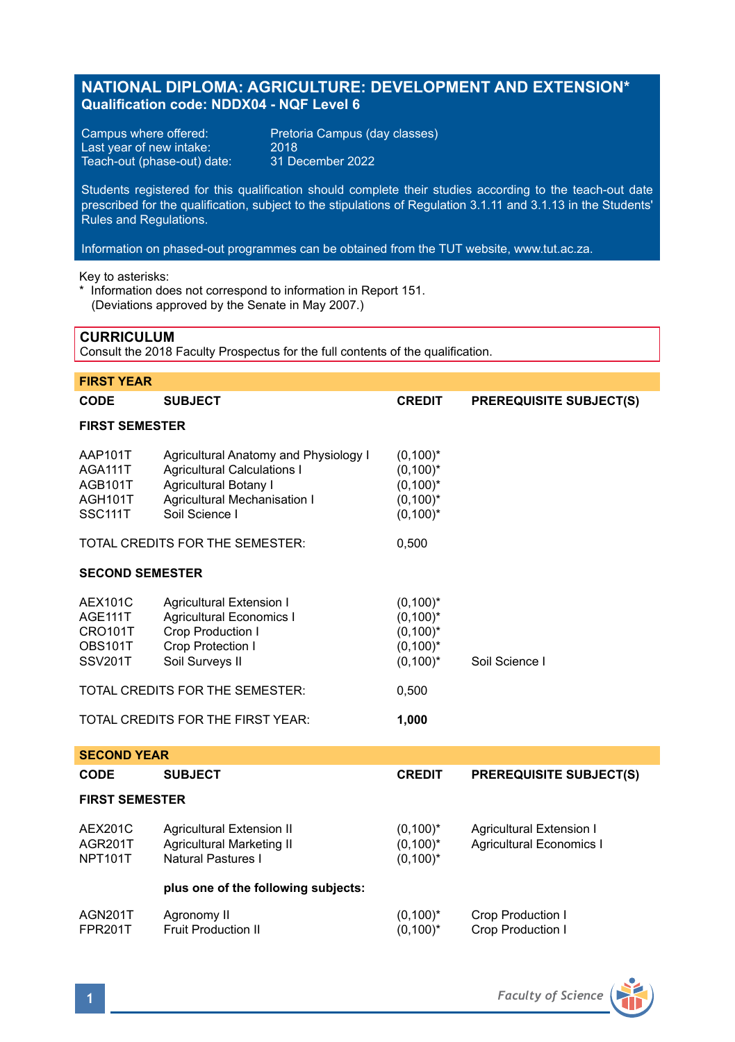# **NATIONAL DIPLOMA: AGRICULTURE: DEVELOPMENT AND EXTENSION\* Qualification code: NDDX04 - NQF Level 6**

Last year of new intake: 2018<br>Teach-out (phase-out) date: 31 December 2022 Teach-out (phase-out) date:

Campus where offered: Pretoria Campus (day classes)<br>Last year of new intake: 2018

Students registered for this qualification should complete their studies according to the teach-out date prescribed for the qualification, subject to the stipulations of Regulation 3.1.11 and 3.1.13 in the Students' Rules and Regulations.

Information on phased-out programmes can be obtained from the TUT website, www.tut.ac.za.

Key to asterisks:

\* Information does not correspond to information in Report 151. (Deviations approved by the Senate in May 2007.)

# **CURRICULUM**

Consult the 2018 Faculty Prospectus for the full contents of the qualification.

| <b>FIRST YEAR</b>                                                        |                                                                                                                                                        |                                                                         |                                                             |  |  |
|--------------------------------------------------------------------------|--------------------------------------------------------------------------------------------------------------------------------------------------------|-------------------------------------------------------------------------|-------------------------------------------------------------|--|--|
| <b>CODE</b>                                                              | <b>SUBJECT</b>                                                                                                                                         | <b>CREDIT</b>                                                           | <b>PREREQUISITE SUBJECT(S)</b>                              |  |  |
| <b>FIRST SEMESTER</b>                                                    |                                                                                                                                                        |                                                                         |                                                             |  |  |
| AAP101T<br>AGA111T<br>AGB101T<br>AGH101T<br>SSC111T                      | Agricultural Anatomy and Physiology I<br><b>Agricultural Calculations I</b><br>Agricultural Botany I<br>Agricultural Mechanisation I<br>Soil Science I | $(0,100)^*$<br>$(0,100)^*$<br>$(0,100)^*$<br>$(0,100)^*$<br>$(0,100)^*$ |                                                             |  |  |
|                                                                          | TOTAL CREDITS FOR THE SEMESTER:                                                                                                                        | 0,500                                                                   |                                                             |  |  |
| <b>SECOND SEMESTER</b>                                                   |                                                                                                                                                        |                                                                         |                                                             |  |  |
| <b>AEX101C</b><br>AGE111T<br><b>CRO101T</b><br>OBS101T<br><b>SSV201T</b> | Agricultural Extension I<br><b>Agricultural Economics I</b><br>Crop Production I<br>Crop Protection I<br>Soil Surveys II                               | $(0,100)^*$<br>$(0,100)^*$<br>$(0,100)^*$<br>$(0,100)^*$<br>$(0,100)^*$ | Soil Science I                                              |  |  |
|                                                                          | TOTAL CREDITS FOR THE SEMESTER:                                                                                                                        | 0,500                                                                   |                                                             |  |  |
| TOTAL CREDITS FOR THE FIRST YEAR:                                        |                                                                                                                                                        | 1,000                                                                   |                                                             |  |  |
| <b>SECOND YEAR</b>                                                       |                                                                                                                                                        |                                                                         |                                                             |  |  |
| CODE                                                                     | <b>SUBJECT</b>                                                                                                                                         | <b>CREDIT</b>                                                           | <b>PREREQUISITE SUBJECT(S)</b>                              |  |  |
| <b>FIRST SEMESTER</b>                                                    |                                                                                                                                                        |                                                                         |                                                             |  |  |
| <b>AEX201C</b><br>AGR201T<br><b>NPT101T</b>                              | Agricultural Extension II<br><b>Agricultural Marketing II</b><br><b>Natural Pastures I</b>                                                             | $(0,100)^*$<br>$(0,100)^*$<br>$(0,100)^*$                               | Agricultural Extension I<br><b>Agricultural Economics I</b> |  |  |
|                                                                          | plus one of the following subjects:                                                                                                                    |                                                                         |                                                             |  |  |
| AGN201T<br><b>FPR201T</b>                                                | Agronomy II<br><b>Fruit Production II</b>                                                                                                              | $(0,100)^*$<br>$(0,100)^*$                                              | Crop Production I<br>Crop Production I                      |  |  |

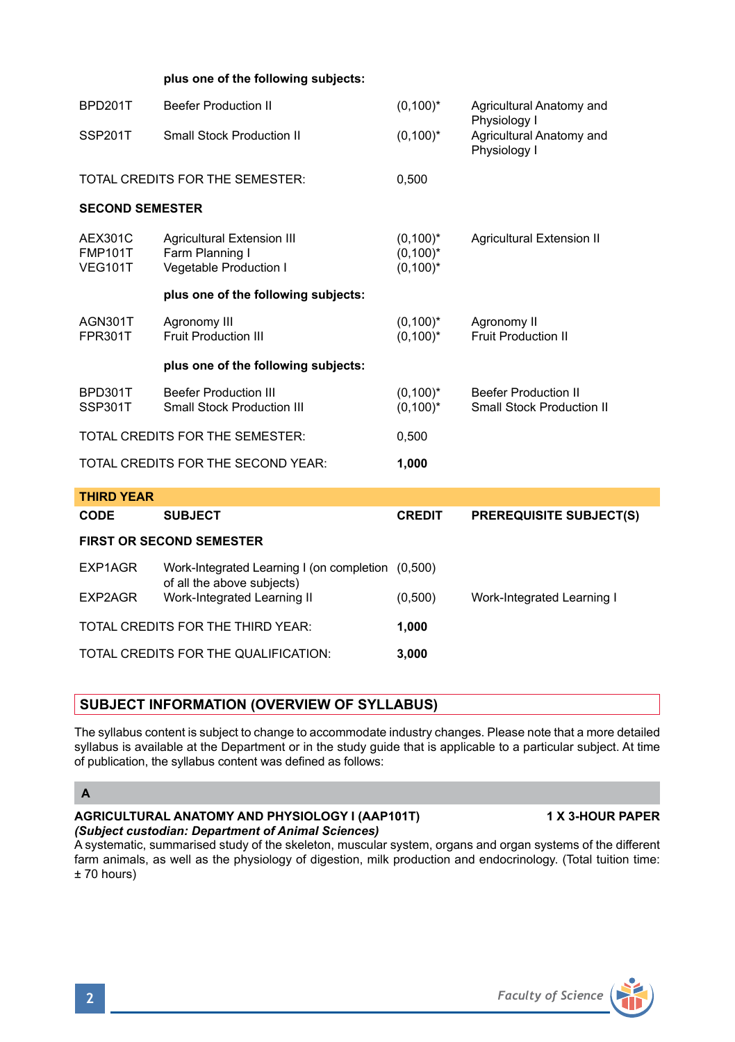#### **plus one of the following subjects:**

| BPD201T                                     | <b>Beefer Production II</b>                                             | $(0,100)^*$                               | Agricultural Anatomy and<br>Physiology I                        |  |  |
|---------------------------------------------|-------------------------------------------------------------------------|-------------------------------------------|-----------------------------------------------------------------|--|--|
| SSP201T                                     | <b>Small Stock Production II</b>                                        | $(0,100)^*$                               | Agricultural Anatomy and<br>Physiology I                        |  |  |
| TOTAL CREDITS FOR THE SEMESTER:             |                                                                         | 0,500                                     |                                                                 |  |  |
| <b>SECOND SEMESTER</b>                      |                                                                         |                                           |                                                                 |  |  |
| AEX301C<br><b>FMP101T</b><br><b>VEG101T</b> | Agricultural Extension III<br>Farm Planning I<br>Vegetable Production I | $(0,100)^*$<br>$(0,100)^*$<br>$(0,100)^*$ | Agricultural Extension II                                       |  |  |
|                                             | plus one of the following subjects:                                     |                                           |                                                                 |  |  |
| AGN301T<br><b>FPR301T</b>                   | Agronomy III<br><b>Fruit Production III</b>                             | $(0,100)^*$<br>$(0,100)^*$                | Agronomy II<br><b>Fruit Production II</b>                       |  |  |
|                                             | plus one of the following subjects:                                     |                                           |                                                                 |  |  |
| BPD301T<br>SSP301T                          | <b>Beefer Production III</b><br><b>Small Stock Production III</b>       | $(0,100)^*$<br>$(0,100)^*$                | <b>Beefer Production II</b><br><b>Small Stock Production II</b> |  |  |
| TOTAL CREDITS FOR THE SEMESTER:             |                                                                         | 0,500                                     |                                                                 |  |  |
| TOTAL CREDITS FOR THE SECOND YEAR:          |                                                                         | 1,000                                     |                                                                 |  |  |
| <b>THIRD YEAR</b>                           |                                                                         |                                           |                                                                 |  |  |
| CODE                                        | <b>SUBJECT</b>                                                          | <b>CREDIT</b>                             | <b>PREREQUISITE SUBJECT(S)</b>                                  |  |  |
| <b>FIRST OR SECOND SEMESTER</b>             |                                                                         |                                           |                                                                 |  |  |
| EXP1AGR                                     | Work-Integrated Learning I (on completion<br>of all the above subjects) | (0,500)                                   |                                                                 |  |  |
| EXP2AGR                                     | Work-Integrated Learning II                                             | (0,500)                                   | Work-Integrated Learning I                                      |  |  |
| TOTAL CREDITS FOR THE THIRD YEAR:           |                                                                         | 1,000                                     |                                                                 |  |  |
| TOTAL CREDITS FOR THE QUALIFICATION:        |                                                                         | 3,000                                     |                                                                 |  |  |

# **SUBJECT INFORMATION (OVERVIEW OF SYLLABUS)**

The syllabus content is subject to change to accommodate industry changes. Please note that a more detailed syllabus is available at the Department or in the study guide that is applicable to a particular subject. At time of publication, the syllabus content was defined as follows:

# **A**

#### **AGRICULTURAL ANATOMY AND PHYSIOLOGY I (AAP101T) 1 X 3-HOUR PAPER** *(Subject custodian: Department of Animal Sciences)*

A systematic, summarised study of the skeleton, muscular system, organs and organ systems of the different farm animals, as well as the physiology of digestion, milk production and endocrinology. (Total tuition time: ± 70 hours)

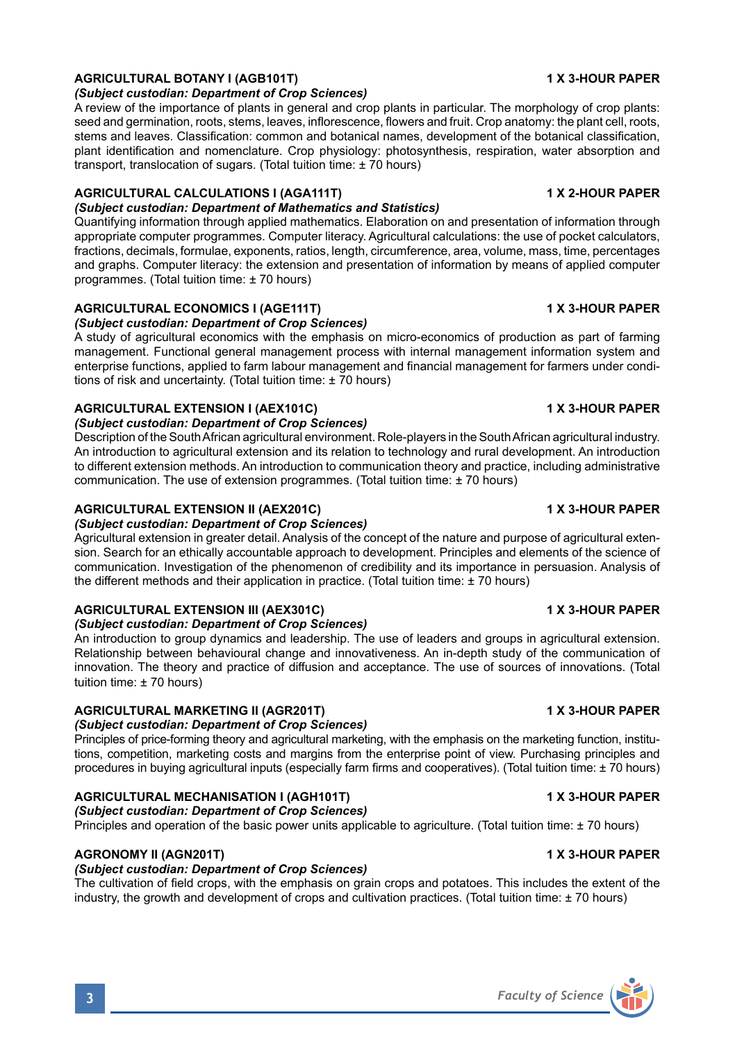# **AGRICULTURAL BOTANY I (AGB101T) 1 X 3-HOUR PAPER**

*(Subject custodian: Department of Crop Sciences)*

A review of the importance of plants in general and crop plants in particular. The morphology of crop plants: seed and germination, roots, stems, leaves, inflorescence, flowers and fruit. Crop anatomy: the plant cell, roots stems and leaves. Classification: common and botanical names, development of the botanical classification, plant identification and nomenclature. Crop physiology: photosynthesis, respiration, water absorption and transport, translocation of sugars. (Total tuition time: ± 70 hours)

#### **AGRICULTURAL CALCULATIONS I (AGA111T) 1 X 2-HOUR PAPER** *(Subject custodian: Department of Mathematics and Statistics)*

Quantifying information through applied mathematics. Elaboration on and presentation of information through appropriate computer programmes. Computer literacy. Agricultural calculations: the use of pocket calculators, fractions, decimals, formulae, exponents, ratios, length, circumference, area, volume, mass, time, percentages and graphs. Computer literacy: the extension and presentation of information by means of applied computer programmes. (Total tuition time: ± 70 hours)

### **AGRICULTURAL ECONOMICS I (AGE111T) 1 X 3-HOUR PAPER**

*(Subject custodian: Department of Crop Sciences)*

A study of agricultural economics with the emphasis on micro-economics of production as part of farming management. Functional general management process with internal management information system and enterprise functions, applied to farm labour management and financial management for farmers under conditions of risk and uncertainty. (Total tuition time: ± 70 hours)

### **AGRICULTURAL EXTENSION I (AEX101C) 1 X 3-HOUR PAPER**

#### *(Subject custodian: Department of Crop Sciences)*

Description of the South African agricultural environment. Role-players in the South African agricultural industry. An introduction to agricultural extension and its relation to technology and rural development. An introduction to different extension methods. An introduction to communication theory and practice, including administrative communication. The use of extension programmes. (Total tuition time: ± 70 hours)

#### **AGRICULTURAL EXTENSION II (AEX201C) 1 X 3-HOUR PAPER**

### *(Subject custodian: Department of Crop Sciences)*

Agricultural extension in greater detail. Analysis of the concept of the nature and purpose of agricultural extension. Search for an ethically accountable approach to development. Principles and elements of the science of communication. Investigation of the phenomenon of credibility and its importance in persuasion. Analysis of the different methods and their application in practice. (Total tuition time: ± 70 hours)

# **AGRICULTURAL EXTENSION III (AEX301C) 1 X 3-HOUR PAPER**

*(Subject custodian: Department of Crop Sciences)* An introduction to group dynamics and leadership. The use of leaders and groups in agricultural extension.

Relationship between behavioural change and innovativeness. An in-depth study of the communication of innovation. The theory and practice of diffusion and acceptance. The use of sources of innovations. (Total tuition time: ± 70 hours)

### **AGRICULTURAL MARKETING II (AGR201T) 1 X 3-HOUR PAPER**

# *(Subject custodian: Department of Crop Sciences)*

Principles of price-forming theory and agricultural marketing, with the emphasis on the marketing function, institutions, competition, marketing costs and margins from the enterprise point of view. Purchasing principles and procedures in buying agricultural inputs (especially farm firms and cooperatives). (Total tuition time: ± 70 hours)

# **AGRICULTURAL MECHANISATION I (AGH101T) 1 X 3-HOUR PAPER**

*(Subject custodian: Department of Crop Sciences)*

Principles and operation of the basic power units applicable to agriculture. (Total tuition time: ± 70 hours)

# **AGRONOMY II (AGN201T) 1 X 3-HOUR PAPER**

# *(Subject custodian: Department of Crop Sciences)*

The cultivation of field crops, with the emphasis on grain crops and potatoes. This includes the extent of the industry, the growth and development of crops and cultivation practices. (Total tuition time: ± 70 hours)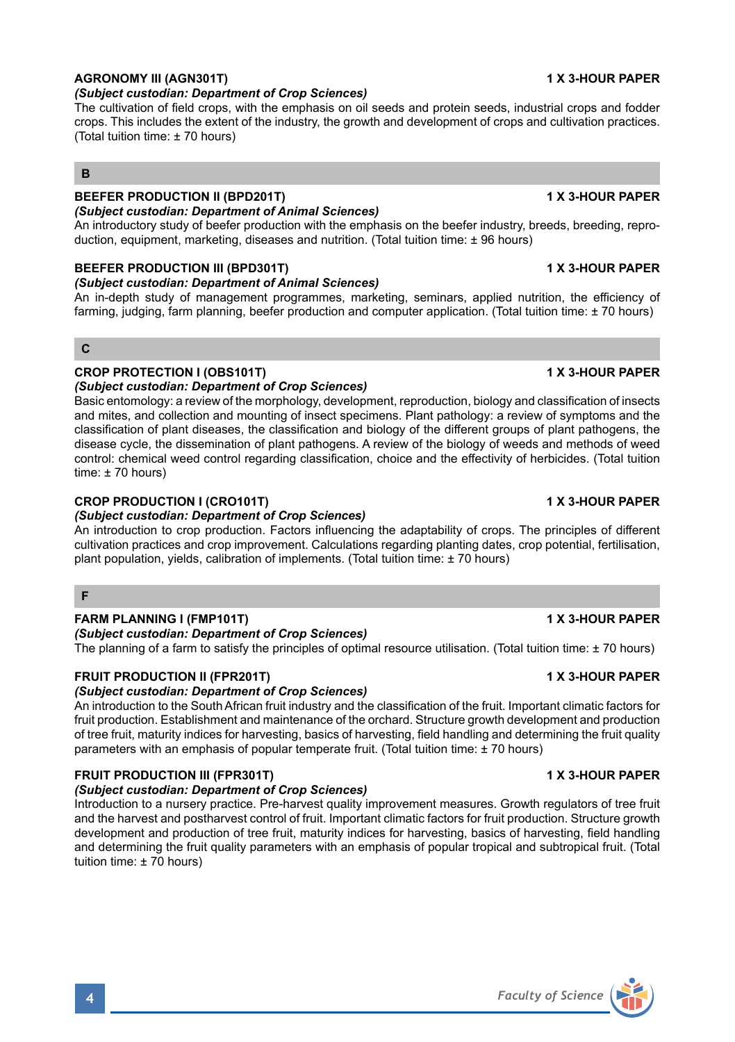#### **AGRONOMY III (AGN301T) 1 X 3-HOUR PAPER** *(Subject custodian: Department of Crop Sciences)*

The cultivation of field crops, with the emphasis on oil seeds and protein seeds, industrial crops and fodder crops. This includes the extent of the industry, the growth and development of crops and cultivation practices. (Total tuition time: ± 70 hours)

# **B**

# **BEEFER PRODUCTION II (BPD201T) 1 X 3-HOUR PAPER**

# *(Subject custodian: Department of Animal Sciences)*

An introductory study of beefer production with the emphasis on the beefer industry, breeds, breeding, reproduction, equipment, marketing, diseases and nutrition. (Total tuition time: ± 96 hours)

### **BEEFER PRODUCTION III (BPD301T) 1 X 3-HOUR PAPER**

#### *(Subject custodian: Department of Animal Sciences)*

An in-depth study of management programmes, marketing, seminars, applied nutrition, the efficiency of farming, judging, farm planning, beefer production and computer application. (Total tuition time: ± 70 hours)

# **C**

# **CROP PROTECTION I (OBS101T) 1 X 3-HOUR PAPER**

*(Subject custodian: Department of Crop Sciences)* Basic entomology: a review of the morphology, development, reproduction, biology and classification of insects and mites, and collection and mounting of insect specimens. Plant pathology: a review of symptoms and the classification of plant diseases, the classification and biology of the different groups of plant pathogens, the disease cycle, the dissemination of plant pathogens. A review of the biology of weeds and methods of weed control: chemical weed control regarding classification, choice and the effectivity of herbicides. (Total tuition time:  $± 70$  hours)

# **CROP PRODUCTION I (CRO101T) 1 X 3-HOUR PAPER**

### *(Subject custodian: Department of Crop Sciences)*

An introduction to crop production. Factors influencing the adaptability of crops. The principles of different cultivation practices and crop improvement. Calculations regarding planting dates, crop potential, fertilisation, plant population, yields, calibration of implements. (Total tuition time: ± 70 hours)

# **F**

# **FARM PLANNING I (FMP101T) 1 X 3-HOUR PAPER**

### *(Subject custodian: Department of Crop Sciences)*

The planning of a farm to satisfy the principles of optimal resource utilisation. (Total tuition time: ± 70 hours)

# **FRUIT PRODUCTION II (FPR201T) 1 X 3-HOUR PAPER**

### *(Subject custodian: Department of Crop Sciences)*

An introduction to the South African fruit industry and the classification of the fruit. Important climatic factors for fruit production. Establishment and maintenance of the orchard. Structure growth development and production of tree fruit, maturity indices for harvesting, basics of harvesting, field handling and determining the fruit quality parameters with an emphasis of popular temperate fruit. (Total tuition time: ± 70 hours)

### **FRUIT PRODUCTION III (FPR301T) 1 X 3-HOUR PAPER**

### *(Subject custodian: Department of Crop Sciences)*

Introduction to a nursery practice. Pre-harvest quality improvement measures. Growth regulators of tree fruit and the harvest and postharvest control of fruit. Important climatic factors for fruit production. Structure growth development and production of tree fruit, maturity indices for harvesting, basics of harvesting, field handling and determining the fruit quality parameters with an emphasis of popular tropical and subtropical fruit. (Total tuition time: ± 70 hours)